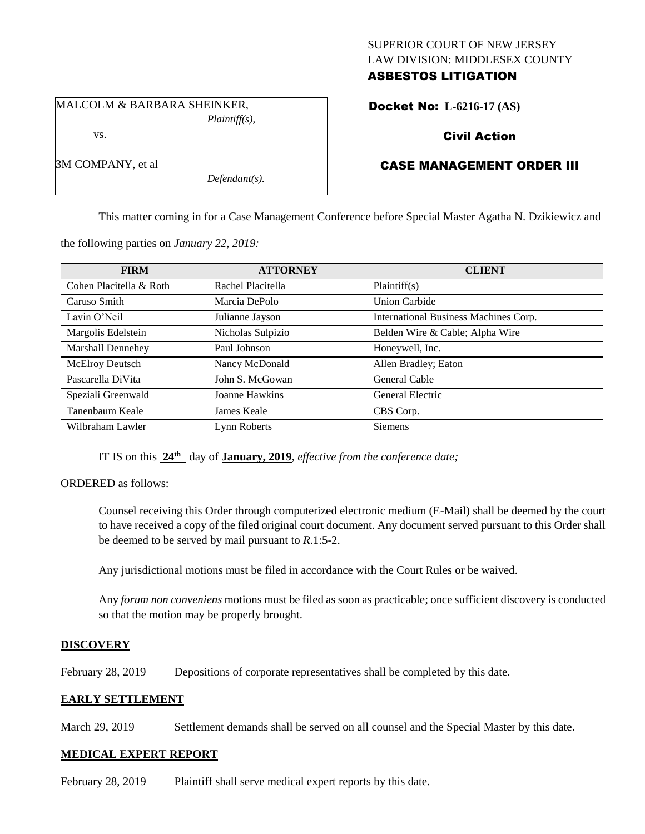## SUPERIOR COURT OF NEW JERSEY LAW DIVISION: MIDDLESEX COUNTY ASBESTOS LITIGATION

MALCOLM & BARBARA SHEINKER, *Plaintiff(s),*

vs.

3M COMPANY, et al

Docket No: **L-6216-17 (AS)** 

# Civil Action

# CASE MANAGEMENT ORDER III

This matter coming in for a Case Management Conference before Special Master Agatha N. Dzikiewicz and

the following parties on *January 22, 2019:*

*Defendant(s).*

| <b>FIRM</b>              | <b>ATTORNEY</b>   | <b>CLIENT</b>                         |
|--------------------------|-------------------|---------------------------------------|
| Cohen Placitella & Roth  | Rachel Placitella | Plaintiff(s)                          |
| Caruso Smith             | Marcia DePolo     | <b>Union Carbide</b>                  |
| Lavin O'Neil             | Julianne Jayson   | International Business Machines Corp. |
| Margolis Edelstein       | Nicholas Sulpizio | Belden Wire & Cable; Alpha Wire       |
| <b>Marshall Dennehey</b> | Paul Johnson      | Honeywell, Inc.                       |
| <b>McElroy Deutsch</b>   | Nancy McDonald    | Allen Bradley; Eaton                  |
| Pascarella DiVita        | John S. McGowan   | General Cable                         |
| Speziali Greenwald       | Joanne Hawkins    | General Electric                      |
| Tanenbaum Keale          | James Keale       | CBS Corp.                             |
| Wilbraham Lawler         | Lynn Roberts      | Siemens                               |

IT IS on this **24th** day of **January, 2019**, *effective from the conference date;*

ORDERED as follows:

Counsel receiving this Order through computerized electronic medium (E-Mail) shall be deemed by the court to have received a copy of the filed original court document. Any document served pursuant to this Order shall be deemed to be served by mail pursuant to *R*.1:5-2.

Any jurisdictional motions must be filed in accordance with the Court Rules or be waived.

Any *forum non conveniens* motions must be filed as soon as practicable; once sufficient discovery is conducted so that the motion may be properly brought.

## **DISCOVERY**

February 28, 2019 Depositions of corporate representatives shall be completed by this date.

## **EARLY SETTLEMENT**

March 29, 2019 Settlement demands shall be served on all counsel and the Special Master by this date.

## **MEDICAL EXPERT REPORT**

February 28, 2019 Plaintiff shall serve medical expert reports by this date.